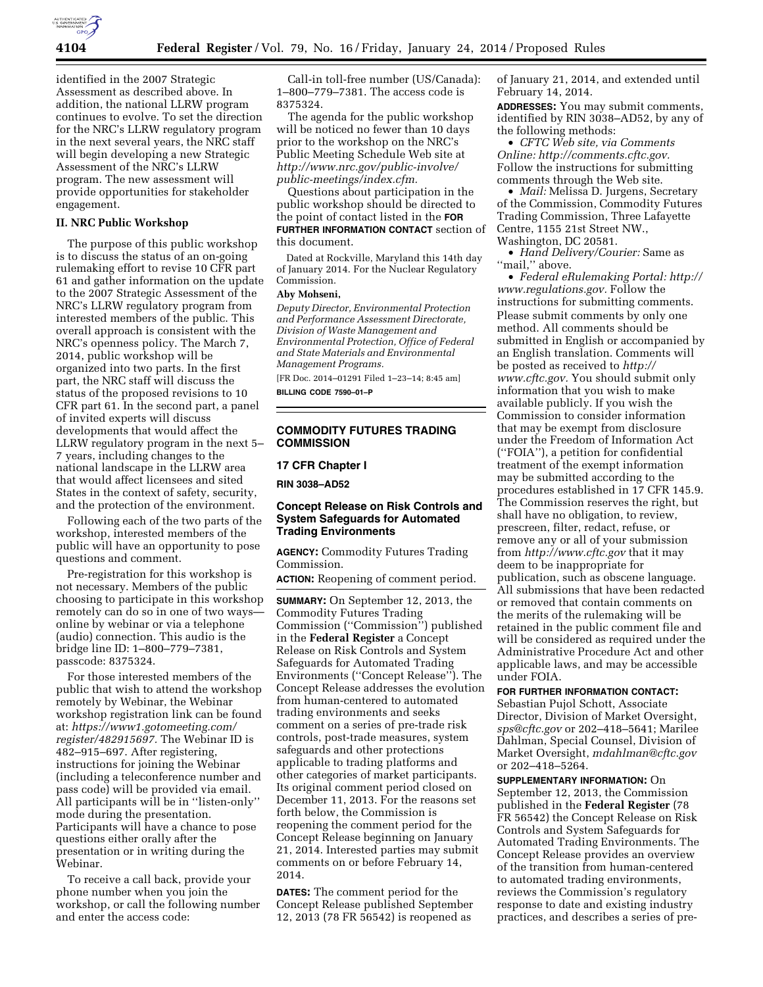

identified in the 2007 Strategic Assessment as described above. In addition, the national LLRW program continues to evolve. To set the direction for the NRC's LLRW regulatory program in the next several years, the NRC staff will begin developing a new Strategic Assessment of the NRC's LLRW program. The new assessment will provide opportunities for stakeholder engagement.

### **II. NRC Public Workshop**

The purpose of this public workshop is to discuss the status of an on-going rulemaking effort to revise 10 CFR part 61 and gather information on the update to the 2007 Strategic Assessment of the NRC's LLRW regulatory program from interested members of the public. This overall approach is consistent with the NRC's openness policy. The March 7, 2014, public workshop will be organized into two parts. In the first part, the NRC staff will discuss the status of the proposed revisions to 10 CFR part 61. In the second part, a panel of invited experts will discuss developments that would affect the LLRW regulatory program in the next 5– 7 years, including changes to the national landscape in the LLRW area that would affect licensees and sited States in the context of safety, security, and the protection of the environment.

Following each of the two parts of the workshop, interested members of the public will have an opportunity to pose questions and comment.

Pre-registration for this workshop is not necessary. Members of the public choosing to participate in this workshop remotely can do so in one of two ways online by webinar or via a telephone (audio) connection. This audio is the bridge line ID: 1–800–779–7381, passcode: 8375324.

For those interested members of the public that wish to attend the workshop remotely by Webinar, the Webinar workshop registration link can be found at: *[https://www1.gotomeeting.com/](https://www1.gotomeeting.com/register/482915697) [register/482915697.](https://www1.gotomeeting.com/register/482915697)* The Webinar ID is 482–915–697. After registering, instructions for joining the Webinar (including a teleconference number and pass code) will be provided via email. All participants will be in ''listen-only'' mode during the presentation. Participants will have a chance to pose questions either orally after the presentation or in writing during the Webinar.

To receive a call back, provide your phone number when you join the workshop, or call the following number and enter the access code:

Call-in toll-free number (US/Canada): 1–800–779–7381. The access code is 8375324.

The agenda for the public workshop will be noticed no fewer than 10 days prior to the workshop on the NRC's Public Meeting Schedule Web site at *[http://www.nrc.gov/public-involve/](http://www.nrc.gov/public-involve/public-meetings/index.cfm) [public-meetings/index.cfm.](http://www.nrc.gov/public-involve/public-meetings/index.cfm)* 

Questions about participation in the public workshop should be directed to the point of contact listed in the **FOR FURTHER INFORMATION CONTACT** section of this document.

Dated at Rockville, Maryland this 14th day of January 2014. For the Nuclear Regulatory Commission.

#### **Aby Mohseni,**

*Deputy Director, Environmental Protection and Performance Assessment Directorate, Division of Waste Management and Environmental Protection, Office of Federal and State Materials and Environmental Management Programs.* 

[FR Doc. 2014–01291 Filed 1–23–14; 8:45 am] **BILLING CODE 7590–01–P** 

**COMMODITY FUTURES TRADING COMMISSION** 

**17 CFR Chapter I** 

**RIN 3038–AD52** 

# **Concept Release on Risk Controls and System Safeguards for Automated Trading Environments**

**AGENCY:** Commodity Futures Trading Commission.

**ACTION:** Reopening of comment period.

**SUMMARY:** On September 12, 2013, the Commodity Futures Trading Commission (''Commission'') published in the **Federal Register** a Concept Release on Risk Controls and System Safeguards for Automated Trading Environments (''Concept Release''). The Concept Release addresses the evolution from human-centered to automated trading environments and seeks comment on a series of pre-trade risk controls, post-trade measures, system safeguards and other protections applicable to trading platforms and other categories of market participants. Its original comment period closed on December 11, 2013. For the reasons set forth below, the Commission is reopening the comment period for the Concept Release beginning on January 21, 2014. Interested parties may submit comments on or before February 14, 2014.

**DATES:** The comment period for the Concept Release published September 12, 2013 (78 FR 56542) is reopened as

of January 21, 2014, and extended until February 14, 2014.

**ADDRESSES:** You may submit comments, identified by RIN 3038–AD52, by any of the following methods:

• *CFTC Web site, via Comments Online: [http://comments.cftc.gov.](http://comments.cftc.gov)*  Follow the instructions for submitting comments through the Web site.

• *Mail:* Melissa D. Jurgens, Secretary of the Commission, Commodity Futures Trading Commission, Three Lafayette Centre, 1155 21st Street NW., Washington, DC 20581.

• *Hand Delivery/Courier:* Same as "mail," above.

• *Federal eRulemaking Portal: [http://](http://www.regulations.gov)  [www.regulations.gov.](http://www.regulations.gov)* Follow the instructions for submitting comments. Please submit comments by only one method. All comments should be submitted in English or accompanied by an English translation. Comments will be posted as received to *[http://](http://www.cftc.gov) [www.cftc.gov.](http://www.cftc.gov)* You should submit only information that you wish to make available publicly. If you wish the Commission to consider information that may be exempt from disclosure under the Freedom of Information Act (''FOIA''), a petition for confidential treatment of the exempt information may be submitted according to the procedures established in 17 CFR 145.9. The Commission reserves the right, but shall have no obligation, to review, prescreen, filter, redact, refuse, or remove any or all of your submission from *<http://www.cftc.gov>* that it may deem to be inappropriate for publication, such as obscene language. All submissions that have been redacted or removed that contain comments on the merits of the rulemaking will be retained in the public comment file and will be considered as required under the Administrative Procedure Act and other applicable laws, and may be accessible under FOIA.

# **FOR FURTHER INFORMATION CONTACT:**

Sebastian Pujol Schott, Associate Director, Division of Market Oversight, *[sps@cftc.gov](mailto:sps@cftc.gov)* or 202–418–5641; Marilee Dahlman, Special Counsel, Division of Market Oversight, *[mdahlman@cftc.gov](mailto:mdahlman@cftc.gov)*  or 202–418–5264.

**SUPPLEMENTARY INFORMATION:** On September 12, 2013, the Commission published in the **Federal Register** (78 FR 56542) the Concept Release on Risk Controls and System Safeguards for Automated Trading Environments. The Concept Release provides an overview of the transition from human-centered to automated trading environments, reviews the Commission's regulatory response to date and existing industry practices, and describes a series of pre